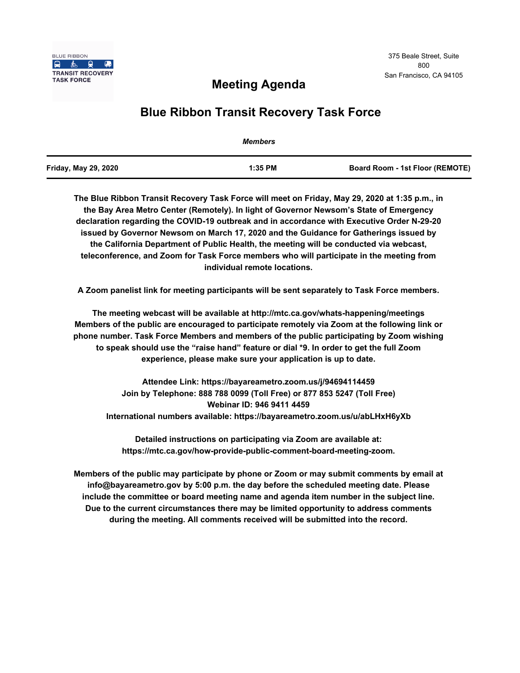

## **Meeting Agenda**

## **Blue Ribbon Transit Recovery Task Force**

|                      | <b>Members</b> |                                        |
|----------------------|----------------|----------------------------------------|
| Friday, May 29, 2020 | $1:35$ PM      | <b>Board Room - 1st Floor (REMOTE)</b> |

**The Blue Ribbon Transit Recovery Task Force will meet on Friday, May 29, 2020 at 1:35 p.m., in the Bay Area Metro Center (Remotely). In light of Governor Newsom's State of Emergency declaration regarding the COVID-19 outbreak and in accordance with Executive Order N-29-20 issued by Governor Newsom on March 17, 2020 and the Guidance for Gatherings issued by the California Department of Public Health, the meeting will be conducted via webcast, teleconference, and Zoom for Task Force members who will participate in the meeting from individual remote locations.** 

**A Zoom panelist link for meeting participants will be sent separately to Task Force members.**

**The meeting webcast will be available at http://mtc.ca.gov/whats-happening/meetings Members of the public are encouraged to participate remotely via Zoom at the following link or phone number. Task Force Members and members of the public participating by Zoom wishing to speak should use the "raise hand" feature or dial \*9. In order to get the full Zoom experience, please make sure your application is up to date.**

**Attendee Link: https://bayareametro.zoom.us/j/94694114459 Join by Telephone: 888 788 0099 (Toll Free) or 877 853 5247 (Toll Free) Webinar ID: 946 9411 4459 International numbers available: https://bayareametro.zoom.us/u/abLHxH6yXb**

**Detailed instructions on participating via Zoom are available at: https://mtc.ca.gov/how-provide-public-comment-board-meeting-zoom.**

**Members of the public may participate by phone or Zoom or may submit comments by email at info@bayareametro.gov by 5:00 p.m. the day before the scheduled meeting date. Please include the committee or board meeting name and agenda item number in the subject line. Due to the current circumstances there may be limited opportunity to address comments during the meeting. All comments received will be submitted into the record.**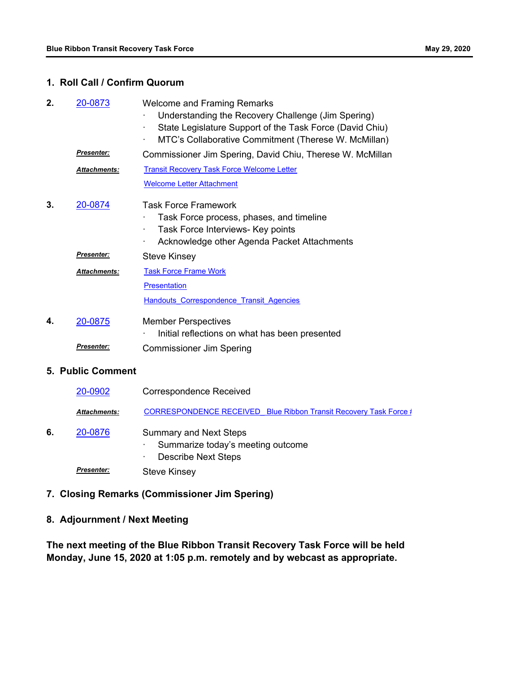## **1. Roll Call / Confirm Quorum**

| 2. | 20-0873                  | <b>Welcome and Framing Remarks</b><br>Understanding the Recovery Challenge (Jim Spering)<br>State Legislature Support of the Task Force (David Chiu)<br>MTC's Collaborative Commitment (Therese W. McMillan)<br>$\blacksquare$ |
|----|--------------------------|--------------------------------------------------------------------------------------------------------------------------------------------------------------------------------------------------------------------------------|
|    | <u>Presenter:</u>        | Commissioner Jim Spering, David Chiu, Therese W. McMillan                                                                                                                                                                      |
|    | Attachments:             | <b>Transit Recovery Task Force Welcome Letter</b>                                                                                                                                                                              |
|    |                          | <b>Welcome Letter Attachment</b>                                                                                                                                                                                               |
| 3. | 20-0874                  | <b>Task Force Framework</b><br>Task Force process, phases, and timeline<br>Task Force Interviews- Key points<br>$\blacksquare$<br>Acknowledge other Agenda Packet Attachments<br>٠                                             |
|    | Presenter:               | <b>Steve Kinsey</b>                                                                                                                                                                                                            |
|    | Attachments:             | <b>Task Force Frame Work</b>                                                                                                                                                                                                   |
|    |                          | <b>Presentation</b>                                                                                                                                                                                                            |
|    |                          | Handouts Correspondence Transit Agencies                                                                                                                                                                                       |
| 4. | 20-0875                  | <b>Member Perspectives</b><br>Initial reflections on what has been presented                                                                                                                                                   |
|    | <u> Presenter:</u>       | <b>Commissioner Jim Spering</b>                                                                                                                                                                                                |
|    | <b>5. Public Comment</b> |                                                                                                                                                                                                                                |
|    | 20-0902                  | <b>Correspondence Received</b>                                                                                                                                                                                                 |
|    | Attachments:             | <b>CORRESPONDENCE RECEIVED Blue Ribbon Transit Recovery Task Force #</b>                                                                                                                                                       |
| 6. | 20-0876                  | <b>Summary and Next Steps</b><br>Summarize today's meeting outcome<br><b>Describe Next Steps</b>                                                                                                                               |
|    | <b>Presenter:</b>        | <b>Steve Kinsey</b>                                                                                                                                                                                                            |

**7. Closing Remarks (Commissioner Jim Spering)**

## **8. Adjournment / Next Meeting**

**The next meeting of the Blue Ribbon Transit Recovery Task Force will be held Monday, June 15, 2020 at 1:05 p.m. remotely and by webcast as appropriate.**